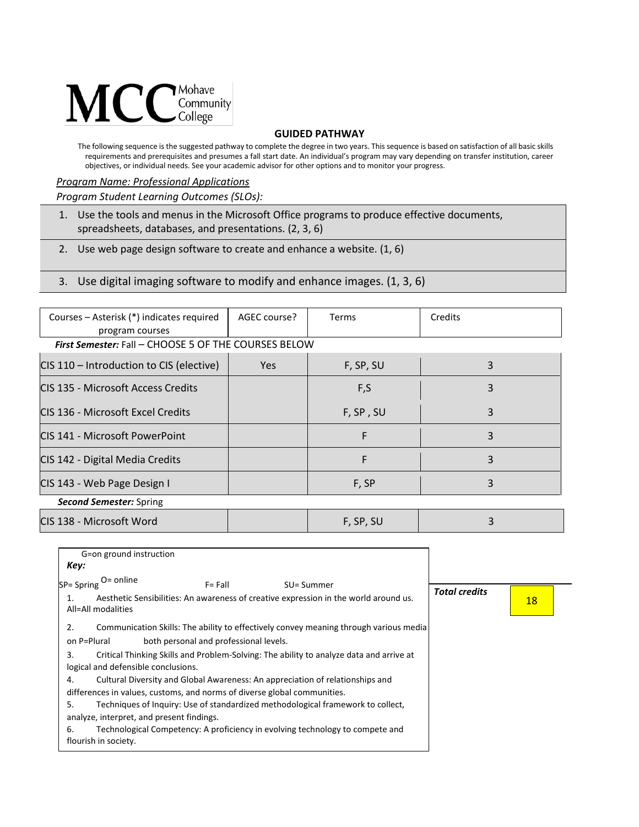

## **GUIDED PATHWAY**

The following sequence is the suggested pathway to complete the degree in two years. This sequence is based on satisfaction of all basic skills requirements and prerequisites and presumes a fall start date. An individual's program may vary depending on transfer institution, career objectives, or individual needs. See your academic advisor for other options and to monitor your progress.

## *Program Name: Professional Applications*

*Program Student Learning Outcomes (SLOs):* 

1. Use the tools and menus in the Microsoft Office programs to produce effective documents, spreadsheets, databases, and presentations. (2, 3, 6)

2. Use web page design software to create and enhance a website. (1, 6)

## 3. Use digital imaging software to modify and enhance images. (1, 3, 6)

| Courses – Asterisk (*) indicates required<br>program courses                                                                                                                                                                                                                                                       | AGEC course? | Terms     | Credits                           |
|--------------------------------------------------------------------------------------------------------------------------------------------------------------------------------------------------------------------------------------------------------------------------------------------------------------------|--------------|-----------|-----------------------------------|
| First Semester: Fall - CHOOSE 5 OF THE COURSES BELOW                                                                                                                                                                                                                                                               |              |           |                                   |
| CIS 110 - Introduction to CIS (elective)                                                                                                                                                                                                                                                                           | Yes          | F, SP, SU | 3                                 |
| CIS 135 - Microsoft Access Credits                                                                                                                                                                                                                                                                                 |              | F,S       | 3                                 |
| CIS 136 - Microsoft Excel Credits                                                                                                                                                                                                                                                                                  |              | F, SP, SU | 3                                 |
| CIS 141 - Microsoft PowerPoint                                                                                                                                                                                                                                                                                     |              | F         | 3                                 |
| CIS 142 - Digital Media Credits                                                                                                                                                                                                                                                                                    |              | F         | 3                                 |
| CIS 143 - Web Page Design I                                                                                                                                                                                                                                                                                        |              | F, SP     | 3                                 |
| <b>Second Semester: Spring</b>                                                                                                                                                                                                                                                                                     |              |           |                                   |
| CIS 138 - Microsoft Word                                                                                                                                                                                                                                                                                           |              | F, SP, SU | 3                                 |
| G=on ground instruction<br>Key:<br>SP= Spring O= online<br>$F = Fall$<br>SU= Summer<br>Aesthetic Sensibilities: An awareness of creative expression in the world around us.<br>$\mathbf{1}$ .<br>All=All modalities<br>Communication Skills: The ability to effectively convey meaning through various media<br>2. |              |           | <b>Total credits</b><br><b>18</b> |
| on P=Plural<br>both personal and professional levels.<br>Astricci Thitelite o Aldie de si Bachterro Actuale de The chiliterra e de shear shore de seul contro da c                                                                                                                                                 |              |           |                                   |

3. Critical Thinking Skills and Problem-Solving: The ability to analyze data and arrive at logical and defensible conclusions.

- 4. Cultural Diversity and Global Awareness: An appreciation of relationships and differences in values, customs, and norms of diverse global communities.
- 5. Techniques of Inquiry: Use of standardized methodological framework to collect, analyze, interpret, and present findings.

6. Technological Competency: A proficiency in evolving technology to compete and flourish in society.